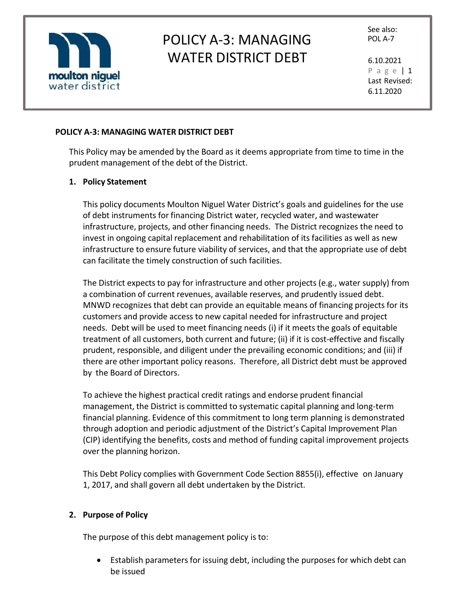

See also:

P a g e | 1 Last Revised: 6.11.2020

### **POLICY A-3: MANAGING WATER DISTRICT DEBT**

This Policy may be amended by the Board as it deems appropriate from time to time in the prudent management of the debt of the District.

### **1. Policy Statement**

This policy documents Moulton Niguel Water District's goals and guidelines for the use of debt instruments for financing District water, recycled water, and wastewater infrastructure, projects, and other financing needs. The District recognizes the need to invest in ongoing capital replacement and rehabilitation of its facilities as well as new infrastructure to ensure future viability of services, and that the appropriate use of debt can facilitate the timely construction of such facilities.

The District expects to pay for infrastructure and other projects (e.g., water supply) from a combination of current revenues, available reserves, and prudently issued debt. MNWD recognizes that debt can provide an equitable means of financing projects for its customers and provide access to new capital needed for infrastructure and project needs. Debt will be used to meet financing needs (i) if it meets the goals of equitable treatment of all customers, both current and future; (ii) if it is cost-effective and fiscally prudent, responsible, and diligent under the prevailing economic conditions; and (iii) if there are other important policy reasons. Therefore, all District debt must be approved by the Board of Directors.

To achieve the highest practical credit ratings and endorse prudent financial management, the District is committed to systematic capital planning and long-term financial planning. Evidence of this commitment to long term planning is demonstrated through adoption and periodic adjustment of the District's Capital Improvement Plan (CIP) identifying the benefits, costs and method of funding capital improvement projects over the planning horizon.

This Debt Policy complies with Government Code Section 8855(i), effective on January 1, 2017, and shall govern all debt undertaken by the District.

### **2. Purpose of Policy**

The purpose of this debt management policy is to:

• Establish parameters for issuing debt, including the purposes for which debt can be issued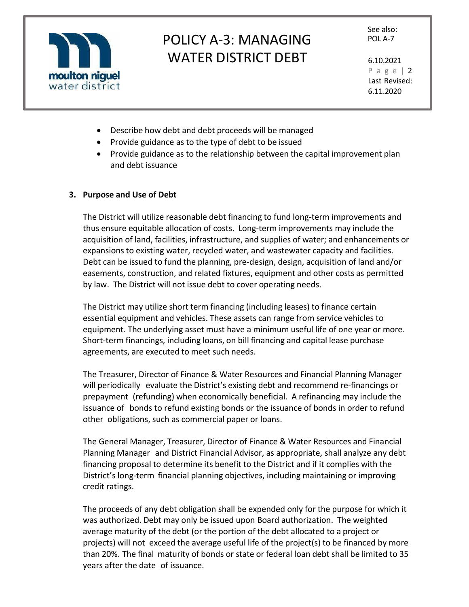

See also:

P a g e | 2 Last Revised: 6.11.2020

- Describe how debt and debt proceeds will be managed
- Provide guidance as to the type of debt to be issued
- Provide guidance as to the relationship between the capital improvement plan and debt issuance

### **3. Purpose and Use of Debt**

The District will utilize reasonable debt financing to fund long-term improvements and thus ensure equitable allocation of costs. Long-term improvements may include the acquisition of land, facilities, infrastructure, and supplies of water; and enhancements or expansions to existing water, recycled water, and wastewater capacity and facilities. Debt can be issued to fund the planning, pre-design, design, acquisition of land and/or easements, construction, and related fixtures, equipment and other costs as permitted by law. The District will not issue debt to cover operating needs.

The District may utilize short term financing (including leases) to finance certain essential equipment and vehicles. These assets can range from service vehicles to equipment. The underlying asset must have a minimum useful life of one year or more. Short-term financings, including loans, on bill financing and capital lease purchase agreements, are executed to meet such needs.

The Treasurer, Director of Finance & Water Resources and Financial Planning Manager will periodically evaluate the District's existing debt and recommend re-financings or prepayment (refunding) when economically beneficial. A refinancing may include the issuance of bonds to refund existing bonds or the issuance of bonds in order to refund other obligations, such as commercial paper or loans.

The General Manager, Treasurer, Director of Finance & Water Resources and Financial Planning Manager and District Financial Advisor, as appropriate, shall analyze any debt financing proposal to determine its benefit to the District and if it complies with the District's long-term financial planning objectives, including maintaining or improving credit ratings.

The proceeds of any debt obligation shall be expended only for the purpose for which it was authorized. Debt may only be issued upon Board authorization. The weighted average maturity of the debt (or the portion of the debt allocated to a project or projects) will not exceed the average useful life of the project(s) to be financed by more than 20%. The final maturity of bonds or state or federal loan debt shall be limited to 35 years after the date of issuance.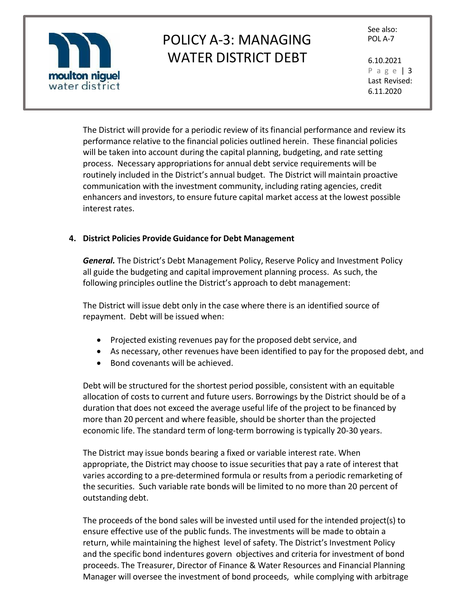

See also:

P a g e | 3 Last Revised: 6.11.2020

The District will provide for a periodic review of its financial performance and review its performance relative to the financial policies outlined herein. These financial policies will be taken into account during the capital planning, budgeting, and rate setting process. Necessary appropriations for annual debt service requirements will be routinely included in the District's annual budget. The District will maintain proactive communication with the investment community, including rating agencies, credit enhancers and investors, to ensure future capital market access at the lowest possible interest rates.

## **4. District Policies Provide Guidance for Debt Management**

*General.* The District's Debt Management Policy, Reserve Policy and Investment Policy all guide the budgeting and capital improvement planning process. As such, the following principles outline the District's approach to debt management:

The District will issue debt only in the case where there is an identified source of repayment. Debt will be issued when:

- Projected existing revenues pay for the proposed debt service, and
- As necessary, other revenues have been identified to pay for the proposed debt, and
- Bond covenants will be achieved.

Debt will be structured for the shortest period possible, consistent with an equitable allocation of costs to current and future users. Borrowings by the District should be of a duration that does not exceed the average useful life of the project to be financed by more than 20 percent and where feasible, should be shorter than the projected economic life. The standard term of long-term borrowing is typically 20-30 years.

The District may issue bonds bearing a fixed or variable interest rate. When appropriate, the District may choose to issue securities that pay a rate of interest that varies according to a pre-determined formula or results from a periodic remarketing of the securities. Such variable rate bonds will be limited to no more than 20 percent of outstanding debt.

The proceeds of the bond sales will be invested until used for the intended project(s) to ensure effective use of the public funds. The investments will be made to obtain a return, while maintaining the highest level of safety. The District's Investment Policy and the specific bond indentures govern objectives and criteria for investment of bond proceeds. The Treasurer, Director of Finance & Water Resources and Financial Planning Manager will oversee the investment of bond proceeds, while complying with arbitrage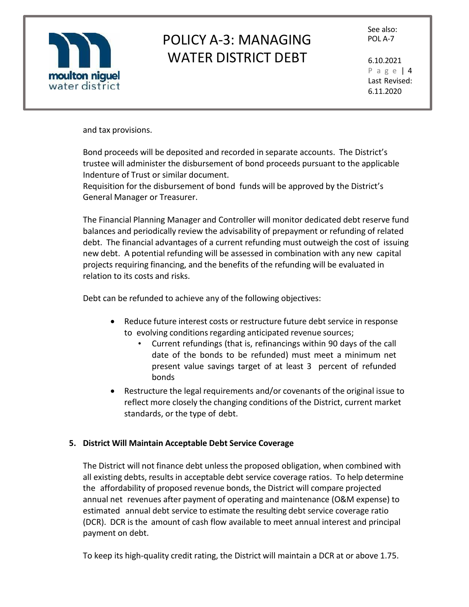

See also:

P a g e | 4 Last Revised: 6.11.2020

and tax provisions.

Bond proceeds will be deposited and recorded in separate accounts. The District's trustee will administer the disbursement of bond proceeds pursuant to the applicable Indenture of Trust or similar document.

Requisition for the disbursement of bond funds will be approved by the District's General Manager or Treasurer.

The Financial Planning Manager and Controller will monitor dedicated debt reserve fund balances and periodically review the advisability of prepayment or refunding of related debt. The financial advantages of a current refunding must outweigh the cost of issuing new debt. A potential refunding will be assessed in combination with any new capital projects requiring financing, and the benefits of the refunding will be evaluated in relation to its costs and risks.

Debt can be refunded to achieve any of the following objectives:

- Reduce future interest costs or restructure future debt service in response to evolving conditions regarding anticipated revenue sources;
	- Current refundings (that is, refinancings within 90 days of the call date of the bonds to be refunded) must meet a minimum net present value savings target of at least 3 percent of refunded bonds
- Restructure the legal requirements and/or covenants of the original issue to reflect more closely the changing conditions of the District, current market standards, or the type of debt.

### **5. District Will Maintain Acceptable Debt Service Coverage**

The District will not finance debt unless the proposed obligation, when combined with all existing debts, results in acceptable debt service coverage ratios. To help determine the affordability of proposed revenue bonds, the District will compare projected annual net revenues after payment of operating and maintenance (O&M expense) to estimated annual debt service to estimate the resulting debt service coverage ratio (DCR). DCR is the amount of cash flow available to meet annual interest and principal payment on debt.

To keep its high-quality credit rating, the District will maintain a DCR at or above 1.75.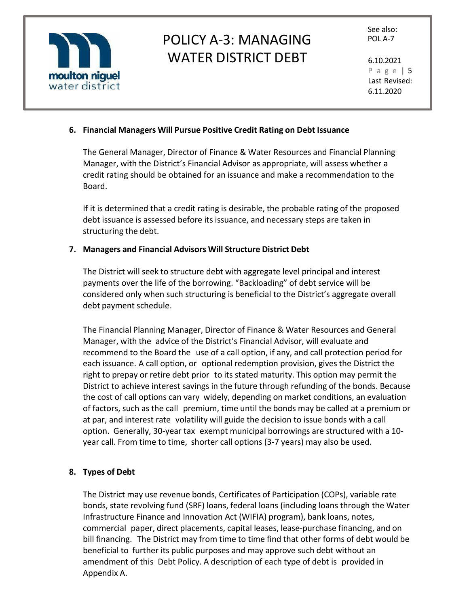

P a g e | 5 Last Revised: 6.11.2020

## **6. Financial Managers Will Pursue Positive Credit Rating on Debt Issuance**

The General Manager, Director of Finance & Water Resources and Financial Planning Manager, with the District's Financial Advisor as appropriate, will assess whether a credit rating should be obtained for an issuance and make a recommendation to the Board.

If it is determined that a credit rating is desirable, the probable rating of the proposed debt issuance is assessed before its issuance, and necessary steps are taken in structuring the debt.

### **7. Managers and Financial Advisors Will Structure District Debt**

The District will seek to structure debt with aggregate level principal and interest payments over the life of the borrowing. "Backloading" of debt service will be considered only when such structuring is beneficial to the District's aggregate overall debt payment schedule.

The Financial Planning Manager, Director of Finance & Water Resources and General Manager, with the advice of the District's Financial Advisor, will evaluate and recommend to the Board the use of a call option, if any, and call protection period for each issuance. A call option, or optional redemption provision, gives the District the right to prepay or retire debt prior to its stated maturity. This option may permit the District to achieve interest savings in the future through refunding of the bonds. Because the cost of call options can vary widely, depending on market conditions, an evaluation of factors, such as the call premium, time until the bonds may be called at a premium or at par, and interest rate volatility will guide the decision to issue bonds with a call option. Generally, 30-year tax exempt municipal borrowings are structured with a 10 year call. From time to time, shorter call options (3-7 years) may also be used.

### **8. Types of Debt**

The District may use revenue bonds, Certificates of Participation (COPs), variable rate bonds, state revolving fund (SRF) loans, federal loans (including loans through the Water Infrastructure Finance and Innovation Act (WIFIA) program), bank loans, notes, commercial paper, direct placements, capital leases, lease-purchase financing, and on bill financing. The District may from time to time find that other forms of debt would be beneficial to further its public purposes and may approve such debt without an amendment of this Debt Policy. A description of each type of debt is provided in Appendix A.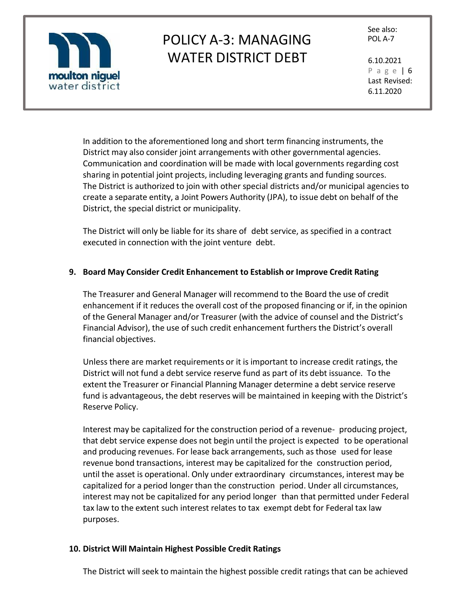

See also:

P a g e | 6 Last Revised: 6.11.2020

In addition to the aforementioned long and short term financing instruments, the District may also consider joint arrangements with other governmental agencies. Communication and coordination will be made with local governments regarding cost sharing in potential joint projects, including leveraging grants and funding sources. The District is authorized to join with other special districts and/or municipal agencies to create a separate entity, a Joint Powers Authority (JPA), to issue debt on behalf of the District, the special district or municipality.

The District will only be liable for its share of debt service, as specified in a contract executed in connection with the joint venture debt.

## **9. Board May Consider Credit Enhancement to Establish or Improve Credit Rating**

The Treasurer and General Manager will recommend to the Board the use of credit enhancement if it reduces the overall cost of the proposed financing or if, in the opinion of the General Manager and/or Treasurer (with the advice of counsel and the District's Financial Advisor), the use of such credit enhancement furthers the District's overall financial objectives.

Unless there are market requirements or it is important to increase credit ratings, the District will not fund a debt service reserve fund as part of its debt issuance. To the extent the Treasurer or Financial Planning Manager determine a debt service reserve fund is advantageous, the debt reserves will be maintained in keeping with the District's Reserve Policy.

Interest may be capitalized for the construction period of a revenue- producing project, that debt service expense does not begin until the project is expected to be operational and producing revenues. For lease back arrangements, such as those used for lease revenue bond transactions, interest may be capitalized for the construction period, until the asset is operational. Only under extraordinary circumstances, interest may be capitalized for a period longer than the construction period. Under all circumstances, interest may not be capitalized for any period longer than that permitted under Federal tax law to the extent such interest relates to tax exempt debt for Federal tax law purposes.

### **10. District Will Maintain Highest Possible Credit Ratings**

The District will seek to maintain the highest possible credit ratings that can be achieved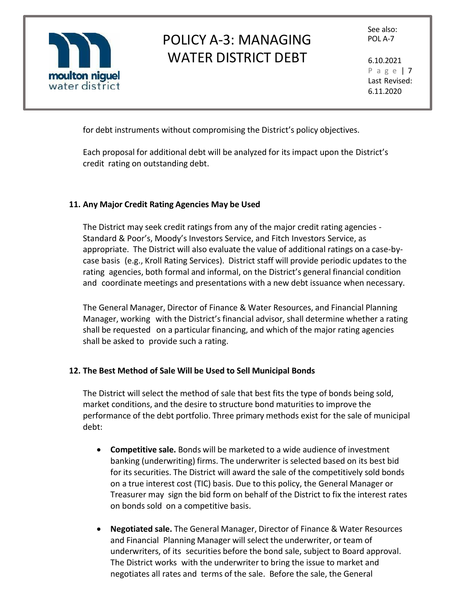

See also:

P a g e | 7 Last Revised: 6.11.2020

for debt instruments without compromising the District's policy objectives.

Each proposal for additional debt will be analyzed for its impact upon the District's credit rating on outstanding debt.

### **11. Any Major Credit Rating Agencies May be Used**

The District may seek credit ratings from any of the major credit rating agencies - Standard & Poor's, Moody's Investors Service, and Fitch Investors Service, as appropriate. The District will also evaluate the value of additional ratings on a case-bycase basis (e.g., Kroll Rating Services). District staff will provide periodic updates to the rating agencies, both formal and informal, on the District's general financial condition and coordinate meetings and presentations with a new debt issuance when necessary.

The General Manager, Director of Finance & Water Resources, and Financial Planning Manager, working with the District'sfinancial advisor, shall determine whether a rating shall be requested on a particular financing, and which of the major rating agencies shall be asked to provide such a rating.

### **12. The Best Method of Sale Will be Used to Sell Municipal Bonds**

The District will select the method of sale that best fits the type of bonds being sold, market conditions, and the desire to structure bond maturities to improve the performance of the debt portfolio. Three primary methods exist for the sale of municipal debt:

- **Competitive sale.** Bonds will be marketed to a wide audience of investment banking (underwriting) firms. The underwriter is selected based on its best bid for its securities. The District will award the sale of the competitively sold bonds on a true interest cost (TIC) basis. Due to this policy, the General Manager or Treasurer may sign the bid form on behalf of the District to fix the interest rates on bonds sold on a competitive basis.
- **Negotiated sale.** The General Manager, Director of Finance & Water Resources and Financial Planning Manager will select the underwriter, or team of underwriters, of its securities before the bond sale, subject to Board approval. The District works with the underwriter to bring the issue to market and negotiates all rates and terms of the sale. Before the sale, the General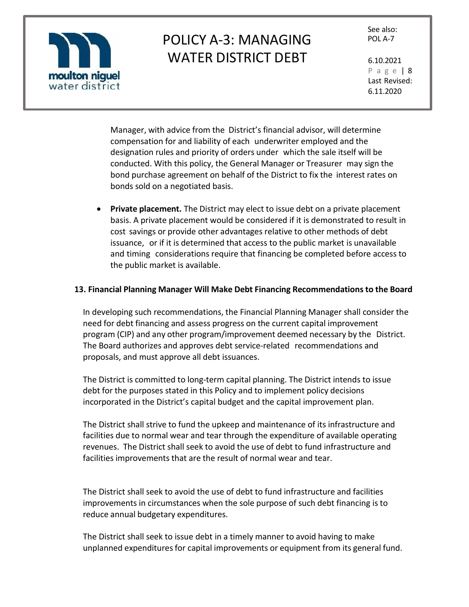

See also:

P a g e | 8 Last Revised: 6.11.2020

Manager, with advice from the District's financial advisor, will determine compensation for and liability of each underwriter employed and the designation rules and priority of orders under which the sale itself will be conducted. With this policy, the General Manager or Treasurer may sign the bond purchase agreement on behalf of the District to fix the interest rates on bonds sold on a negotiated basis.

• **Private placement.** The District may elect to issue debt on a private placement basis. A private placement would be considered if it is demonstrated to result in cost savings or provide other advantages relative to other methods of debt issuance, or if it is determined that access to the public market is unavailable and timing considerations require that financing be completed before access to the public market is available.

### **13. Financial Planning Manager Will Make Debt Financing Recommendationsto the Board**

In developing such recommendations, the Financial Planning Manager shall consider the need for debt financing and assess progress on the current capital improvement program (CIP) and any other program/improvement deemed necessary by the District. The Board authorizes and approves debt service-related recommendations and proposals, and must approve all debt issuances.

The District is committed to long-term capital planning. The District intends to issue debt for the purposes stated in this Policy and to implement policy decisions incorporated in the District's capital budget and the capital improvement plan.

The District shall strive to fund the upkeep and maintenance of its infrastructure and facilities due to normal wear and tear through the expenditure of available operating revenues. The District shall seek to avoid the use of debt to fund infrastructure and facilities improvements that are the result of normal wear and tear.

The District shall seek to avoid the use of debt to fund infrastructure and facilities improvements in circumstances when the sole purpose of such debt financing is to reduce annual budgetary expenditures.

The District shall seek to issue debt in a timely manner to avoid having to make unplanned expenditures for capital improvements or equipment from its general fund.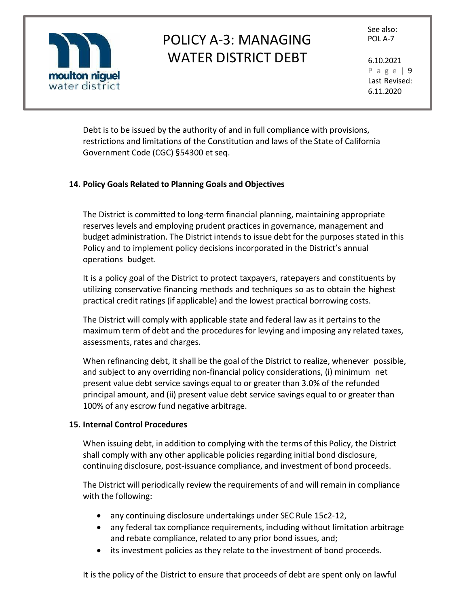

See also:

P a g e | 9 Last Revised: 6.11.2020

Debt is to be issued by the authority of and in full compliance with provisions, restrictions and limitations of the Constitution and laws of the State of California Government Code (CGC) §54300 et seq.

### **14. Policy Goals Related to Planning Goals and Objectives**

The District is committed to long-term financial planning, maintaining appropriate reserves levels and employing prudent practices in governance, management and budget administration. The District intends to issue debt for the purposes stated in this Policy and to implement policy decisions incorporated in the District's annual operations budget.

It is a policy goal of the District to protect taxpayers, ratepayers and constituents by utilizing conservative financing methods and techniques so as to obtain the highest practical credit ratings (if applicable) and the lowest practical borrowing costs.

The District will comply with applicable state and federal law as it pertains to the maximum term of debt and the procedures for levying and imposing any related taxes, assessments, rates and charges.

When refinancing debt, it shall be the goal of the District to realize, whenever possible, and subject to any overriding non-financial policy considerations, (i) minimum net present value debt service savings equal to or greater than 3.0% of the refunded principal amount, and (ii) present value debt service savings equal to or greater than 100% of any escrow fund negative arbitrage.

### **15. Internal Control Procedures**

When issuing debt, in addition to complying with the terms of this Policy, the District shall comply with any other applicable policies regarding initial bond disclosure, continuing disclosure, post-issuance compliance, and investment of bond proceeds.

The District will periodically review the requirements of and will remain in compliance with the following:

- any continuing disclosure undertakings under SEC Rule 15c2-12,
- any federal tax compliance requirements, including without limitation arbitrage and rebate compliance, related to any prior bond issues, and;
- its investment policies as they relate to the investment of bond proceeds.

It is the policy of the District to ensure that proceeds of debt are spent only on lawful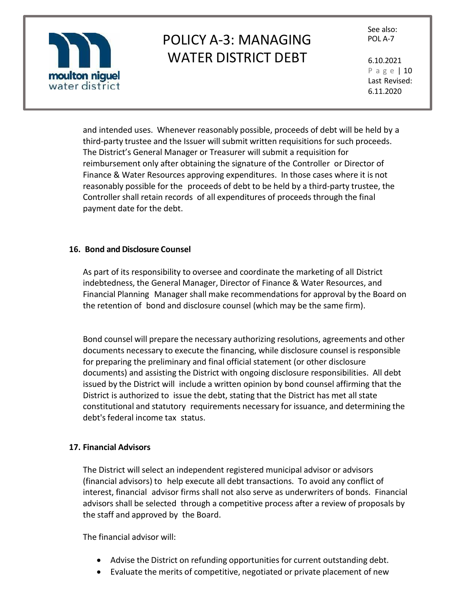

See also:

P a g e | 10 Last Revised: 6.11.2020

and intended uses. Whenever reasonably possible, proceeds of debt will be held by a third-party trustee and the Issuer will submit written requisitions for such proceeds. The District's General Manager or Treasurer will submit a requisition for reimbursement only after obtaining the signature of the Controller or Director of Finance & Water Resources approving expenditures. In those cases where it is not reasonably possible for the proceeds of debt to be held by a third-party trustee, the Controller shall retain records of all expenditures of proceeds through the final payment date for the debt.

### **16. Bond and Disclosure Counsel**

As part of its responsibility to oversee and coordinate the marketing of all District indebtedness, the General Manager, Director of Finance & Water Resources, and Financial Planning Manager shall make recommendations for approval by the Board on the retention of bond and disclosure counsel (which may be the same firm).

Bond counsel will prepare the necessary authorizing resolutions, agreements and other documents necessary to execute the financing, while disclosure counsel is responsible for preparing the preliminary and final official statement (or other disclosure documents) and assisting the District with ongoing disclosure responsibilities. All debt issued by the District will include a written opinion by bond counsel affirming that the District is authorized to issue the debt, stating that the District has met all state constitutional and statutory requirements necessary for issuance, and determining the debt's federal income tax status.

### **17. Financial Advisors**

The District will select an independent registered municipal advisor or advisors (financial advisors) to help execute all debt transactions. To avoid any conflict of interest, financial advisor firms shall not also serve as underwriters of bonds. Financial advisors shall be selected through a competitive process after a review of proposals by the staff and approved by the Board.

The financial advisor will:

- Advise the District on refunding opportunities for current outstanding debt.
- Evaluate the merits of competitive, negotiated or private placement of new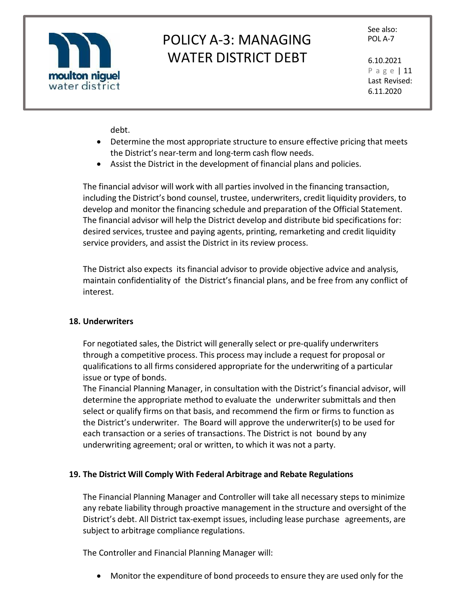

See also:

P a g e | 11 Last Revised: 6.11.2020

debt.

- Determine the most appropriate structure to ensure effective pricing that meets the District's near-term and long-term cash flow needs.
- Assist the District in the development of financial plans and policies.

The financial advisor will work with all parties involved in the financing transaction, including the District's bond counsel, trustee, underwriters, credit liquidity providers, to develop and monitor the financing schedule and preparation of the Official Statement. The financial advisor will help the District develop and distribute bid specifications for: desired services, trustee and paying agents, printing, remarketing and credit liquidity service providers, and assist the District in its review process.

The District also expects its financial advisor to provide objective advice and analysis, maintain confidentiality of the District's financial plans, and be free from any conflict of interest.

### **18. Underwriters**

For negotiated sales, the District will generally select or pre-qualify underwriters through a competitive process. This process may include a request for proposal or qualifications to all firms considered appropriate for the underwriting of a particular issue or type of bonds.

The Financial Planning Manager, in consultation with the District's financial advisor, will determine the appropriate method to evaluate the underwriter submittals and then select or qualify firms on that basis, and recommend the firm or firms to function as the District's underwriter. The Board will approve the underwriter(s) to be used for each transaction or a series of transactions. The District is not bound by any underwriting agreement; oral or written, to which it was not a party.

### **19. The District Will Comply With Federal Arbitrage and Rebate Regulations**

The Financial Planning Manager and Controller will take all necessary steps to minimize any rebate liability through proactive management in the structure and oversight of the District's debt. All District tax-exempt issues, including lease purchase agreements, are subject to arbitrage compliance regulations.

The Controller and Financial Planning Manager will:

• Monitor the expenditure of bond proceeds to ensure they are used only for the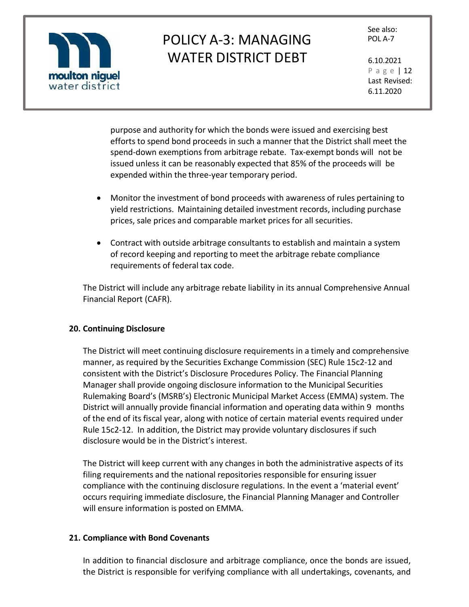

See also:

P a g e | 12 Last Revised: 6.11.2020

purpose and authority for which the bonds were issued and exercising best efforts to spend bond proceeds in such a manner that the District shall meet the spend-down exemptions from arbitrage rebate. Tax-exempt bonds will not be issued unless it can be reasonably expected that 85% of the proceeds will be expended within the three-year temporary period.

- Monitor the investment of bond proceeds with awareness of rules pertaining to yield restrictions. Maintaining detailed investment records, including purchase prices, sale prices and comparable market prices for all securities.
- Contract with outside arbitrage consultants to establish and maintain a system of record keeping and reporting to meet the arbitrage rebate compliance requirements of federal tax code.

The District will include any arbitrage rebate liability in its annual Comprehensive Annual Financial Report (CAFR).

### **20. Continuing Disclosure**

The District will meet continuing disclosure requirements in a timely and comprehensive manner, as required by the Securities Exchange Commission (SEC) Rule 15c2-12 and consistent with the District's Disclosure Procedures Policy. The Financial Planning Manager shall provide ongoing disclosure information to the Municipal Securities Rulemaking Board's (MSRB's) Electronic Municipal Market Access (EMMA) system. The District will annually provide financial information and operating data within 9 months of the end of its fiscal year, along with notice of certain material events required under Rule 15c2-12. In addition, the District may provide voluntary disclosures if such disclosure would be in the District's interest.

The District will keep current with any changes in both the administrative aspects of its filing requirements and the national repositories responsible for ensuring issuer compliance with the continuing disclosure regulations. In the event a 'material event' occurs requiring immediate disclosure, the Financial Planning Manager and Controller will ensure information is posted on EMMA.

### **21. Compliance with Bond Covenants**

In addition to financial disclosure and arbitrage compliance, once the bonds are issued, the District is responsible for verifying compliance with all undertakings, covenants, and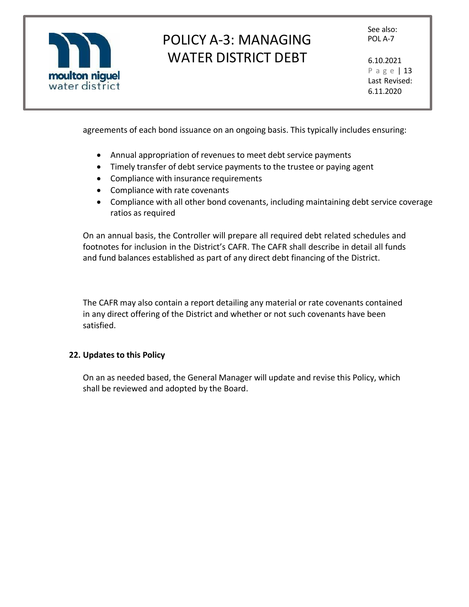

See also:

P a g e | 13 Last Revised: 6.11.2020

agreements of each bond issuance on an ongoing basis. This typically includes ensuring:

- Annual appropriation of revenues to meet debt service payments
- Timely transfer of debt service payments to the trustee or paying agent
- Compliance with insurance requirements
- Compliance with rate covenants
- Compliance with all other bond covenants, including maintaining debt service coverage ratios as required

On an annual basis, the Controller will prepare all required debt related schedules and footnotes for inclusion in the District's CAFR. The CAFR shall describe in detail all funds and fund balances established as part of any direct debt financing of the District.

The CAFR may also contain a report detailing any material or rate covenants contained in any direct offering of the District and whether or not such covenants have been satisfied.

### **22. Updates to this Policy**

On an as needed based, the General Manager will update and revise this Policy, which shall be reviewed and adopted by the Board.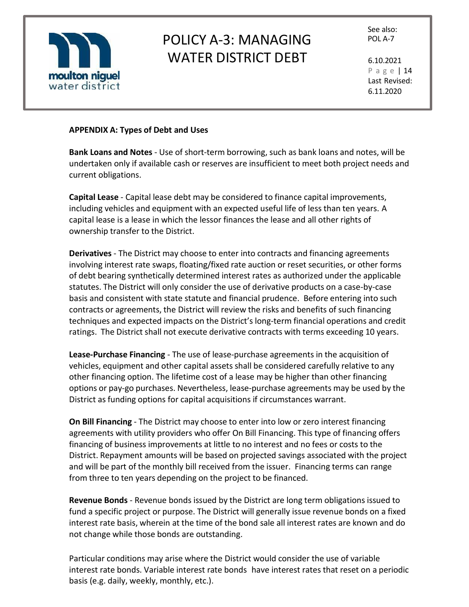

See also:

P a g e | 14 Last Revised: 6.11.2020

### **APPENDIX A: Types of Debt and Uses**

**Bank Loans and Notes** - Use of short-term borrowing, such as bank loans and notes, will be undertaken only if available cash or reserves are insufficient to meet both project needs and current obligations.

**Capital Lease** *-* Capital lease debt may be considered to finance capital improvements, including vehicles and equipment with an expected useful life of less than ten years. A capital lease is a lease in which the lessor finances the lease and all other rights of ownership transfer to the District.

**Derivatives** - The District may choose to enter into contracts and financing agreements involving interest rate swaps, floating/fixed rate auction or reset securities, or other forms of debt bearing synthetically determined interest rates as authorized under the applicable statutes. The District will only consider the use of derivative products on a case-by-case basis and consistent with state statute and financial prudence. Before entering into such contracts or agreements, the District will review the risks and benefits of such financing techniques and expected impacts on the District's long-term financial operations and credit ratings. The District shall not execute derivative contracts with terms exceeding 10 years.

**Lease-Purchase Financing** - The use of lease-purchase agreements in the acquisition of vehicles, equipment and other capital assets shall be considered carefully relative to any other financing option. The lifetime cost of a lease may be higher than other financing options or pay-go purchases. Nevertheless, lease-purchase agreements may be used by the District as funding options for capital acquisitions if circumstances warrant.

**On Bill Financing** - The District may choose to enter into low or zero interest financing agreements with utility providers who offer On Bill Financing. This type of financing offers financing of business improvements at little to no interest and no fees or costs to the District. Repayment amounts will be based on projected savings associated with the project and will be part of the monthly bill received from the issuer. Financing terms can range from three to ten years depending on the project to be financed.

**Revenue Bonds** *-* Revenue bonds issued by the District are long term obligations issued to fund a specific project or purpose. The District will generally issue revenue bonds on a fixed interest rate basis, wherein at the time of the bond sale all interest rates are known and do not change while those bonds are outstanding.

Particular conditions may arise where the District would consider the use of variable interest rate bonds. Variable interest rate bonds have interest rates that reset on a periodic basis (e.g. daily, weekly, monthly, etc.).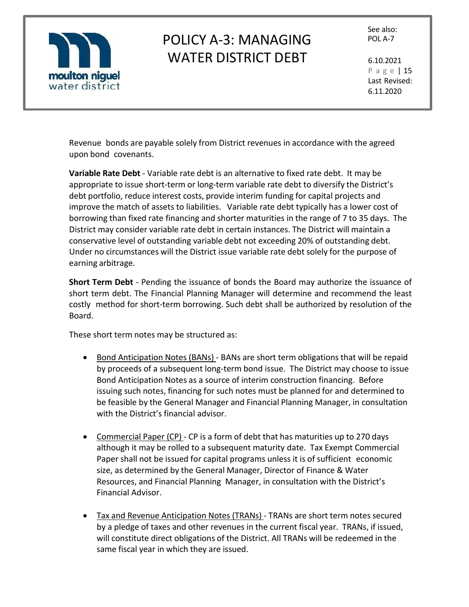

See also:

P a g e | 15 Last Revised: 6.11.2020

Revenue bonds are payable solely from District revenues in accordance with the agreed upon bond covenants.

**Variable Rate Debt** *-* Variable rate debt is an alternative to fixed rate debt. It may be appropriate to issue short-term or long-term variable rate debt to diversify the District's debt portfolio, reduce interest costs, provide interim funding for capital projects and improve the match of assets to liabilities. Variable rate debt typically has a lower cost of borrowing than fixed rate financing and shorter maturities in the range of 7 to 35 days. The District may consider variable rate debt in certain instances. The District will maintain a conservative level of outstanding variable debt not exceeding 20% of outstanding debt. Under no circumstances will the District issue variable rate debt solely for the purpose of earning arbitrage.

**Short Term Debt** - Pending the issuance of bonds the Board may authorize the issuance of short term debt. The Financial Planning Manager will determine and recommend the least costly method for short-term borrowing. Such debt shall be authorized by resolution of the Board.

These short term notes may be structured as:

- Bond Anticipation Notes (BANs) BANs are short term obligations that will be repaid by proceeds of a subsequent long-term bond issue. The District may choose to issue Bond Anticipation Notes as a source of interim construction financing. Before issuing such notes, financing for such notes must be planned for and determined to be feasible by the General Manager and Financial Planning Manager, in consultation with the District's financial advisor.
- Commercial Paper (CP) CP is a form of debt that has maturities up to 270 days although it may be rolled to a subsequent maturity date. Tax Exempt Commercial Paper shall not be issued for capital programs unless it is of sufficient economic size, as determined by the General Manager, Director of Finance & Water Resources, and Financial Planning Manager, in consultation with the District's Financial Advisor.
- Tax and Revenue Anticipation Notes (TRANs) TRANs are short term notes secured by a pledge of taxes and other revenues in the current fiscal year. TRANs, if issued, will constitute direct obligations of the District. All TRANs will be redeemed in the same fiscal year in which they are issued.